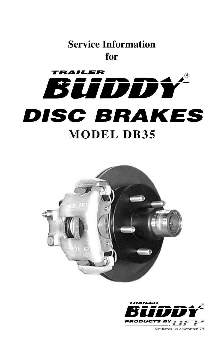# **Service Information for**





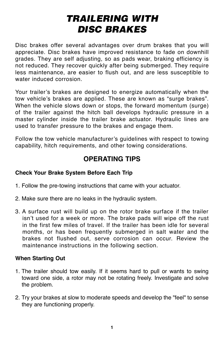# **TRAILERING WITH DISC BRAKES**

Disc brakes offer several advantages over drum brakes that you will appreciate. Disc brakes have improved resistance to fade on downhill grades. They are self adjusting, so as pads wear, braking efficiency is not reduced. They recover quickly after being submerged. They require less maintenance, are easier to flush out, and are less susceptible to water induced corrosion.

Your trailer's brakes are designed to energize automatically when the tow vehicle's brakes are applied. These are known as "surge brakes". When the vehicle slows down or stops, the forward momentum (surge) of the trailer against the hitch ball develops hydraulic pressure in a master cylinder inside the trailer brake actuator. Hydraulic lines are used to transfer pressure to the brakes and engage them.

Follow the tow vehicle manufacturer's guidelines with respect to towing capability, hitch requirements, and other towing considerations.

## **OPERATING TIPS**

### **Check Your Brake System Before Each Trip**

- 1. Follow the pre-towing instructions that came with your actuator.
- 2. Make sure there are no leaks in the hydraulic system.
- 3. A surface rust will build up on the rotor brake surface if the trailer isn't used for a week or more. The brake pads will wipe off the rust in the first few miles of travel. If the trailer has been idle for several months, or has been frequently submerged in salt water and the brakes not flushed out, serve corrosion can occur. Review the maintenance instructions in the following section.

#### **When Starting Out**

- 1. The trailer should tow easily. If it seems hard to pull or wants to swing toward one side, a rotor may not be rotating freely. Investigate and solve the problem.
- 2. Try your brakes at slow to moderate speeds and develop the "feel" to sense they are functioning properly.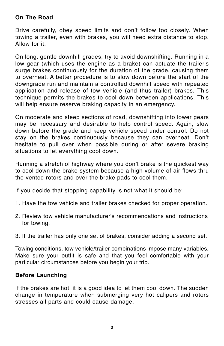#### **On The Road**

Drive carefully, obey speed limits and don't follow too closely. When towing a trailer, even with brakes, you will need extra distance to stop. Allow for it.

On long, gentle downhill grades, try to avoid downshifting. Running in a low gear (which uses the engine as a brake) can actuate the trailer's surge brakes continuously for the duration of the grade, causing them to overheat. A better procedure is to slow down before the start of the downgrade run and maintain a controlled downhill speed with repeated application and release of tow vehicle (and thus trailer) brakes. This technique permits the brakes to cool down between applications. This will help ensure reserve braking capacity in an emergency.

On moderate and steep sections of road, downshifting into lower gears may be necessary and desirable to help control speed. Again, slow down before the grade and keep vehicle speed under control. Do not stay on the brakes continuously because they can overheat. Don't hesitate to pull over when possible during or after severe braking situations to let everything cool down.

Running a stretch of highway where you don't brake is the quickest way to cool down the brake system because a high volume of air flows thru the vented rotors and over the brake pads to cool them.

If you decide that stopping capability is not what it should be:

- 1. Have the tow vehicle and trailer brakes checked for proper operation.
- 2. Review tow vehicle manufacturer's recommendations and instructions for towing.
- 3. If the trailer has only one set of brakes, consider adding a second set.

Towing conditions, tow vehicle/trailer combinations impose many variables. Make sure your outfit is safe and that you feel comfortable with your particular circumstances before you begin your trip.

## **Before Launching**

If the brakes are hot, it is a good idea to let them cool down. The sudden change in temperature when submerging very hot calipers and rotors stresses all parts and could cause damage.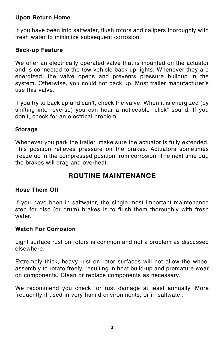#### **Upon Return Home**

If you have been into saltwater, flush rotors and calipers thoroughly with fresh water to minimize subsequent corrosion.

## **Back-up Feature**

We offer an electrically operated valve that is mounted on the actuator and is connected to the tow vehicle back-up lights. Whenever they are energized, the valve opens and prevents pressure buildup in the system. Otherwise, you could not back up. Most trailer manufacturer's use this valve.

If you try to back up and can't, check the valve. When it is energized (by shifting into reverse) you can hear a noticeable "click" sound. If you don't, check for an electrical problem.

### **Storage**

Whenever you park the trailer, make sure the actuator is fully extended. This position relieves pressure on the brakes. Actuators sometimes freeze up in the compressed position from corrosion. The next time out, the brakes will drag and overheat.

## **ROUTINE MAINTENANCE**

### **Hose Them Off**

If you have been in saltwater, the single most important maintenance step for disc (or drum) brakes is to flush them thoroughly with fresh water.

#### **Watch For Corrosion**

Light surface rust on rotors is common and not a problem as discussed elsewhere.

Extremely thick, heavy rust on rotor surfaces will not allow the wheel assembly to rotate freely, resulting in heat build-up and premature wear on components. Clean or replace components as necessary.

We recommend you check for rust damage at least annually. More frequently if used in very humid environments, or in saltwater.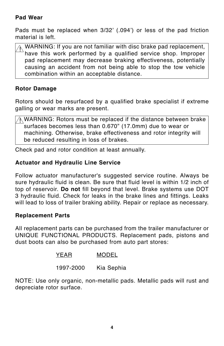#### **Pad Wear**

Pads must be replaced when 3/32' (.094') or less of the pad friction material is left.

WARNING: If you are not familiar with disc brake pad replacement, have this work performed by a qualified service shop. Improper pad replacement may decrease braking effectiveness, potentially causing an accident from not being able to stop the tow vehicle combination within an acceptable distance.  $\overline{\phantom{a}}$ !

#### **Rotor Damage**

Rotors should be resurfaced by a qualified brake specialist if extreme galling or wear marks are present.

WARNING: Rotors must be replaced if the distance between brake surfaces becomes less than 0.670" (17.0mm) due to wear or machining. Otherwise, brake effectiveness and rotor integrity will be reduced resulting in loss of brakes.  $\frac{1}{\sqrt{2}}$ !

Check pad and rotor condition at least annually.

#### **Actuator and Hydraulic Line Service**

Follow actuator manufacturer's suggested service routine. Always be sure hydraulic fluid is clean. Be sure that fluid level is within 1/2 inch of top of reservoir. **Do not** fill beyond that level. Brake systems use DOT 3 hydraulic fluid. Check for leaks in the brake lines and fittings. Leaks will lead to loss of trailer braking ability. Repair or replace as necessary.

#### **Replacement Parts**

All replacement parts can be purchased from the trailer manufacturer or UNIQUE FUNCTIONAL PRODUCTS. Replacement pads, pistons and dust boots can also be purchased from auto part stores:

- YEAR MODEL
- 1997-2000 Kia Sephia

NOTE: Use only organic, non-metallic pads. Metallic pads will rust and depreciate rotor surface.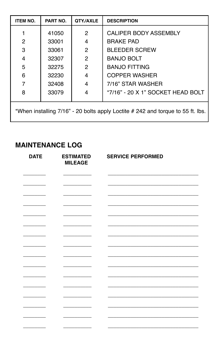| <b>ITEM NO.</b>                                                                 | PART NO. | QTY/AXLE      | <b>DESCRIPTION</b>                |  |
|---------------------------------------------------------------------------------|----------|---------------|-----------------------------------|--|
|                                                                                 | 41050    | 2             | CALIPER BODY ASSEMBLY             |  |
| 2                                                                               | 33001    | 4             | <b>BRAKE PAD</b>                  |  |
| 3                                                                               | 33061    | 2             | <b>BLEEDER SCREW</b>              |  |
| 4                                                                               | 32307    | $\mathcal{P}$ | <b>BANJO BOLT</b>                 |  |
| 5                                                                               | 32275    | 2             | <b>BANJO FITTING</b>              |  |
| 6                                                                               | 32230    | 4             | COPPER WASHER                     |  |
|                                                                                 | 32408    | 4             | 7/16" STAR WASHER                 |  |
| 8                                                                               | 33079    | 4             | *7/16" - 20 X 1" SOCKET HEAD BOLT |  |
| *When installing 7/16" - 20 bolts apply Loctite # 242 and torque to 55 ft. lbs. |          |               |                                   |  |

## **MAINTENANCE LOG**

| <b>DATE</b> | <b>ESTIMATED</b><br><b>MILEAGE</b> | <b>SERVICE PERFORMED</b> |
|-------------|------------------------------------|--------------------------|
|             |                                    |                          |
|             |                                    |                          |
|             |                                    |                          |
|             |                                    |                          |
|             |                                    |                          |
|             |                                    |                          |
|             |                                    |                          |
|             |                                    |                          |
|             |                                    |                          |
|             |                                    |                          |
|             |                                    |                          |
|             |                                    |                          |
|             |                                    |                          |
|             |                                    |                          |
|             |                                    |                          |